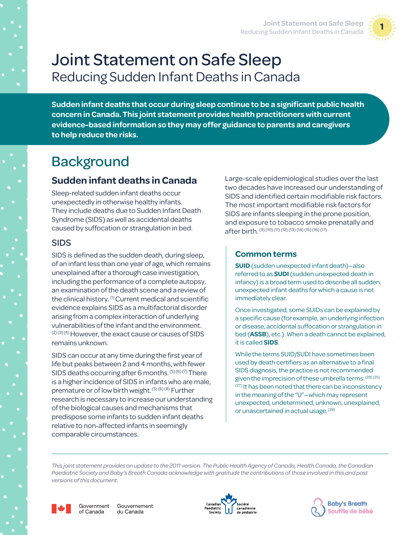

# Joint Statement on Safe Sleep Reducing Sudden Infant Deaths in Canada

**Sudden infant deaths that occur during sleep continue to be a significant public health concern in Canada. This joint statement provides health practitioners with current evidence-based information so they may offer guidance to parents and caregivers to help reduce the risks.** 

## **Background**

## **Sudden infant deaths in Canada**

Sleep-related sudden infant deaths occur unexpectedly in otherwise healthy infants. They include deaths due to Sudden Infant Death Syndrome (SIDS) as well as accidental deaths caused by suffocation or strangulation in bed.

### SIDS

SIDS is defined as the sudden death, during sleep, of an infant less than one year of age, which remains unexplained after a thorough case investigation, including the performance of a complete autopsy, an examination of the death scene and a review of the clinical history. (1) Current medical and scientific evidence explains SIDS as a multifactorial disorder arising from a complex interaction of underlying vulnerabilities of the infant and the environment.  $(2)(3)(4)$  However, the exact cause or causes of SIDS remains unknown.

SIDS can occur at any time during the first year of life but peaks between 2 and 4 months, with fewer SIDS deaths occurring after 6 months. (5) (6) (7) There is a higher incidence of SIDS in infants who are male, premature or of low birth weight. (5) (6) (8) Further research is necessary to increase our understanding of the biological causes and mechanisms that predispose some infants to sudden infant deaths relative to non-affected infants in seemingly comparable circumstances.

Large-scale epidemiological studies over the last two decades have increased our understanding of SIDS and identified certain modifiable risk factors. The most important modifiable risk factors for SIDS are infants sleeping in the prone position, and exposure to tobacco smoke prenatally and after birth. (9) (10) (11) (12) (13) (14) (15) (16) (17)

## **Common terms**

**SUID** (sudden unexpected infant death)—also referred to as **SUDI** (sudden unexpected death in infancy) is a broad term used to describe all sudden, unexpected infant deaths for which a cause is not immediately clear.

Once investigated, some SUIDs can be explained by a specific cause (for example, an underlying infection or disease, accidental suffocation or strangulation in bed (**ASSB**), etc.). When a death cannot be explained, it is called **SIDS**.

While the terms SUID/SUDI have sometimes been used by death certifiers as an alternative to a final SIDS diagnosis, the practice is not recommended given the imprecision of these umbrella terms. (28) (25)  $(27)$  It has been noted that there can be inconsistency in the meaning of the "U"—which may represent unexpected, undetermined, unknown, unexplained, or unascertained in actual usage. <sup>(28)</sup>

*This joint statement provides an update to the 2011 version. The Public Health Agency of Canada, Health Canada, the Canadian Paediatric Society and Baby's Breath Canada acknowledge with gratitude the contributions of those involved in this and past versions of this document.*



Government Gouvernement of Canada du Canada



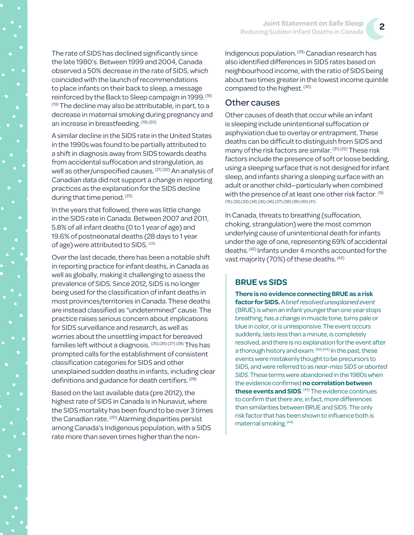The rate of SIDS has declined significantly since the late 1980's. Between 1999 and 2004, Canada observed a 50% decrease in the rate of SIDS, which coincided with the launch of recommendations to place infants on their back to sleep, a message reinforced by the Back to Sleep campaign in 1999. <sup>(18)</sup>  $(19)$  The decline may also be attributable, in part, to a decrease in maternal smoking during pregnancy and an increase in breastfeeding. (19) (20)

A similar decline in the SIDS rate in the United States in the 1990s was found to be partially attributed to a shift in diagnosis away from SIDS towards deaths from accidental suffocation and strangulation, as well as other/unspecified causes. (21) (22) An analysis of Canadian data did not support a change in reporting practices as the explanation for the SIDS decline during that time period. (23)

In the years that followed, there was little change in the SIDS rate in Canada. Between 2007 and 2011, 5.8% of all infant deaths (0 to 1 year of age) and 19.6% of postneonatal deaths (28 days to 1 year of age) were attributed to SIDS. (24)

Over the last decade, there has been a notable shift in reporting practice for infant deaths, in Canada as well as globally, making it challenging to assess the prevalence of SIDS. Since 2012, SIDS is no longer being used for the classification of infant deaths in most provinces/territories in Canada. These deaths are instead classified as "undetermined" cause. The practice raises serious concern about implications for SIDS surveillance and research, as well as worries about the unsettling impact for bereaved families left without a diagnosis. (25) (26) (27) (28) This has prompted calls for the establishment of consistent classification categories for SIDS and other unexplained sudden deaths in infants, including clear definitions and guidance for death certifiers. (28)

Based on the last available data (pre 2012), the highest rate of SIDS in Canada is in Nunavut, where the SIDS mortality has been found to be over 3 times the Canadian rate.<sup>(20)</sup> Alarming disparities persist among Canada's Indigenous population, with a SIDS rate more than seven times higher than the nonIndigenous population. (29) Canadian research has also identified differences in SIDS rates based on neighbourhood income, with the ratio of SIDS being about two times greater in the lowest income quintile compared to the highest. (30)

#### Other causes

Other causes of death that occur while an infant is sleeping include unintentional suffocation or asphyxiation due to overlay or entrapment. These deaths can be difficult to distinguish from SIDS and many of the risk factors are similar. (31) (22) These risk factors include the presence of soft or loose bedding, using a sleeping surface that is not designed for infant sleep, and infants sharing a sleeping surface with an adult or another child—particularly when combined with the presence of at least one other risk factor. <sup>(9)</sup> (16) (32) (33) (34) (35) (36) (37) (38) (39) (40) (41)

In Canada, threats to breathing (suffocation, choking, strangulation) were the most common underlying cause of unintentional death for infants under the age of one, representing 69% of accidental deaths. (42) Infants under 4 months accounted for the vast majority (70%) of these deaths. (42)

### **BRUE vs SIDS**

**There is no evidence connecting BRUE as a risk factor for SIDS.** A *brief resolved unexplained event* (BRUE) is when an infant younger than one year stops breathing, has a change in muscle tone, turns pale or blue in color, or is unresponsive. The event occurs suddenly, lasts less than a minute, is completely resolved, and there is no explanation for the event after a thorough history and exam. (43) (44) In the past, these events were mistakenly thought to be precursors to SIDS, and were referred to as *near-miss SIDS* or *aborted SIDS*. These terms were abandoned in the 1980s when the evidence confirmed **no correlation between**  these events and SIDS.<sup>(43)</sup> The evidence continues to confirm that there are, in fact, more differences than similarities between BRUE and SIDS. The only risk factor that has been shown to influence both is maternal smoking. (44)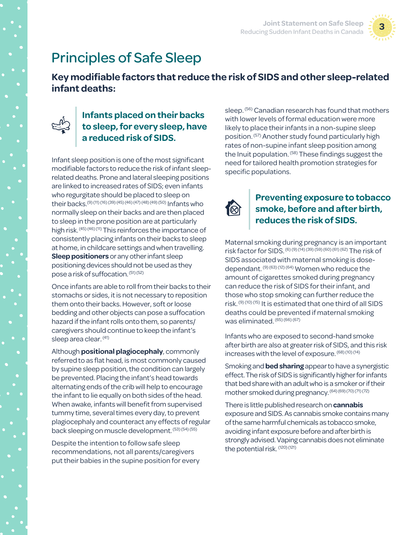

## Principles of Safe Sleep

**Key modifiable factors that reduce the risk of SIDS and other sleep-related infant deaths:**



## **Infants placed on their backs to sleep, for every sleep, have a reduced risk of SIDS.**

Infant sleep position is one of the most significant modifiable factors to reduce the risk of infant sleeprelated deaths. Prone and lateral sleeping positions are linked to increased rates of SIDS; even infants who regurgitate should be placed to sleep on their backs.(9) (11) (16) (39) (45) (46) (47) (48) (49) (50) Infants who normally sleep on their backs and are then placed to sleep in the prone position are at particularly high risk. (45) (46) (11) This reinforces the importance of consistently placing infants on their backs to sleep at home, in childcare settings and when travelling. **Sleep positioners** or any other infant sleep positioning devices should not be used as they pose a risk of suffocation. (51) (52)

Once infants are able to roll from their backs to their stomachs or sides, it is not necessary to reposition them onto their backs. However, soft or loose bedding and other objects can pose a suffocation hazard if the infant rolls onto them, so parents/ caregivers should continue to keep the infant's sleep area clear. (41)

Although **positional plagiocephaly**, commonly referred to as flat head, is most commonly caused by supine sleep position, the condition can largely be prevented. Placing the infant's head towards alternating ends of the crib will help to encourage the infant to lie equally on both sides of the head. When awake, infants will benefit from supervised tummy time, several times every day, to prevent plagiocephaly and counteract any effects of regular back sleeping on muscle development. (53) (54) (55)

Despite the intention to follow safe sleep recommendations, not all parents/caregivers put their babies in the supine position for every sleep. (56) Canadian research has found that mothers with lower levels of formal education were more likely to place their infants in a non-supine sleep position. (57) Another study found particularly high rates of non-supine infant sleep position among the Inuit population. (58) These findings suggest the need for tailored health promotion strategies for specific populations.



## **Preventing exposure to tobacco smoke, before and after birth, reduces the risk of SIDS.**

Maternal smoking during pregnancy is an important risk factor for SIDS. (6) (9) (14) (39) (59) (60) (61) (62) The risk of SIDS associated with maternal smoking is dosedependant. (9) (63) (12) (64) Women who reduce the amount of cigarettes smoked during pregnancy can reduce the risk of SIDS for their infant, and those who stop smoking can further reduce the risk. (9) (10) (15) It is estimated that one third of all SIDS deaths could be prevented if maternal smoking was eliminated. (65) (66) (67)

Infants who are exposed to second-hand smoke after birth are also at greater risk of SIDS, and this risk increases with the level of exposure. (68) (10) (14)

Smoking and **bed sharing** appear to have a synergistic effect. The risk of SIDS is significantly higher for infants that bed share with an adult who is a smoker or if their mother smoked during pregnancy. (64) (69) (70) (71) (72)

There is little published research on **cannabis**  exposure and SIDS. As cannabis smoke contains many of the same harmful chemicals as tobacco smoke, avoiding infant exposure before and after birth is strongly advised. Vaping cannabis does not eliminate the potential risk. (120) (121)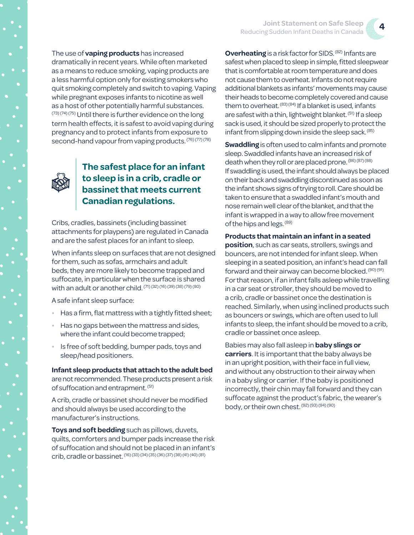The use of **vaping products** has increased dramatically in recent years. While often marketed as a means to reduce smoking, vaping products are a less harmful option only for existing smokers who quit smoking completely and switch to vaping. Vaping while pregnant exposes infants to nicotine as well as a host of other potentially harmful substances. (73) (74) (75) Until there is further evidence on the long term health effects, it is safest to avoid vaping during pregnancy and to protect infants from exposure to second-hand vapour from vaping products. (76) (77) (78)



**The safest place for an infant to sleep is in a crib, cradle or bassinet that meets current Canadian regulations.** 

Cribs, cradles, bassinets (including bassinet attachments for playpens) are regulated in Canada and are the safest places for an infant to sleep.

When infants sleep on surfaces that are not designed for them, such as sofas, armchairs and adult beds, they are more likely to become trapped and suffocate, in particular when the surface is shared with an adult or another child. (71) (32) (16) (39) (38) (79) (80)

A safe infant sleep surface:

- Has a firm, flat mattress with a tightly fitted sheet;
- Has no gaps between the mattress and sides, where the infant could become trapped;
- Is free of soft bedding, bumper pads, toys and sleep/head positioners.

**Infant sleep products that attach to the adult bed** are not recommended. These products present a risk of suffocation and entrapment. (51)

A crib, cradle or bassinet should never be modified and should always be used according to the manufacturer's instructions.

**Toys and soft bedding** such as pillows, duvets, quilts, comforters and bumper pads increase the risk of suffocation and should not be placed in an infant's crib, cradle or bassinet. (16) (33) (34) (35) (36) (37) (38) (41) (40) (81)

**Overheating** is a risk factor for SIDS. <sup>(82)</sup> Infants are safest when placed to sleep in simple, fitted sleepwear that is comfortable at room temperature and does not cause them to overheat. Infants do not require additional blankets as infants' movements may cause their heads to become completely covered and cause them to overheat.  $(83)(84)$  If a blanket is used, infants are safest with a thin, lightweight blanket. (51) If a sleep sack is used, it should be sized properly to protect the infant from slipping down inside the sleep sack. (85)

**Swaddling** is often used to calm infants and promote sleep. Swaddled infants have an increased risk of death when they roll or are placed prone. (86) (87) (88) If swaddling is used, the infant should always be placed on their back and swaddling discontinued as soon as the infant shows signs of trying to roll. Care should be taken to ensure that a swaddled infant's mouth and nose remain well clear of the blanket, and that the infant is wrapped in a way to allow free movement of the hips and legs. (89)

#### **Products that maintain an infant in a seated**

**position**, such as car seats, strollers, swings and bouncers, are not intended for infant sleep. When sleeping in a seated position, an infant's head can fall forward and their airway can become blocked. (90) (91) For that reason, if an infant falls asleep while travelling in a car seat or stroller, they should be moved to a crib, cradle or bassinet once the destination is reached. Similarly, when using inclined products such as bouncers or swings, which are often used to lull infants to sleep, the infant should be moved to a crib, cradle or bassinet once asleep.

Babies may also fall asleep in **baby slings or carriers**. It is important that the baby always be in an upright position, with their face in full view, and without any obstruction to their airway when in a baby sling or carrier. If the baby is positioned incorrectly, their chin may fall forward and they can suffocate against the product's fabric, the wearer's body, or their own chest. (92) (93) (94) (90)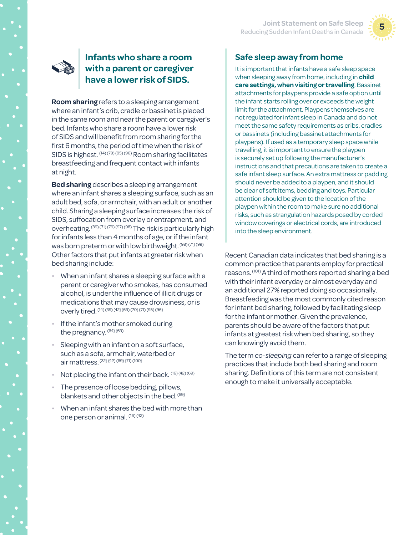



### **Infants who share a room with a parent or caregiver have a lower risk of SIDS.**

**Room sharing** refers to a sleeping arrangement where an infant's crib, cradle or bassinet is placed in the same room and near the parent or caregiver's bed. Infants who share a room have a lower risk of SIDS and will benefit from room sharing for the first 6 months, the period of time when the risk of SIDS is highest. (14) (79) (95) (96) Room sharing facilitates breastfeeding and frequent contact with infants at night.

**Bed sharing** describes a sleeping arrangement where an infant shares a sleeping surface, such as an adult bed, sofa, or armchair, with an adult or another child. Sharing a sleeping surface increases the risk of SIDS, suffocation from overlay or entrapment, and overheating. (39) (71) (79) (97) (98) The risk is particularly high for infants less than 4 months of age, or if the infant was born preterm or with low birthweight. (98) (71) (99) Other factors that put infants at greater risk when bed sharing include:

- When an infant shares a sleeping surface with a parent or caregiver who smokes, has consumed alcohol, is under the influence of illicit drugs or medications that may cause drowsiness, or is overly tired. (14) (39) (42) (69) (70) (71) (95) (96)
- If the infant's mother smoked during the pregnancy. (64) (69)
- Sleeping with an infant on a soft surface, such as a sofa, armchair, waterbed or air mattress. (32) (42) (69) (71) (100)
- Not placing the infant on their back. (16) (42) (69)
- The presence of loose bedding, pillows, blankets and other objects in the bed. <sup>(69)</sup>
- When an infant shares the bed with more than one person or animal. (16) (42)

## **Safe sleep away from home**

It is important that infants have a safe sleep space when sleeping away from home, including in **child care settings, when visiting or travelling**. Bassinet attachments for playpens provide a safe option until the infant starts rolling over or exceeds the weight limit for the attachment. Playpens themselves are not regulated for infant sleep in Canada and do not meet the same safety requirements as cribs, cradles or bassinets (including bassinet attachments for playpens). If used as a temporary sleep space while travelling, it is important to ensure the playpen is securely set up following the manufacturer's instructions and that precautions are taken to create a safe infant sleep surface. An extra mattress or padding should never be added to a playpen, and it should be clear of soft items, bedding and toys. Particular attention should be given to the location of the playpen within the room to make sure no additional risks, such as strangulation hazards posed by corded window coverings or electrical cords, are introduced into the sleep environment.

Recent Canadian data indicates that bed sharing is a common practice that parents employ for practical reasons. (101) A third of mothers reported sharing a bed with their infant everyday or almost everyday and an additional 27% reported doing so occasionally. Breastfeeding was the most commonly cited reason for infant bed sharing, followed by facilitating sleep for the infant or mother. Given the prevalence, parents should be aware of the factors that put infants at greatest risk when bed sharing, so they can knowingly avoid them.

The term *co-sleeping* can refer to a range of sleeping practices that include both bed sharing and room sharing. Definitions of this term are not consistent enough to make it universally acceptable.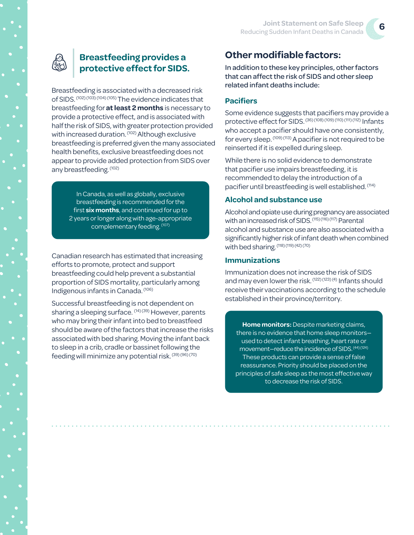

## **Breastfeeding provides a protective effect for SIDS.**

Breastfeeding is associated with a decreased risk of SIDS. (102) (103) (104) (105) The evidence indicates that breastfeeding for **at least 2 months** is necessary to provide a protective effect, and is associated with half the risk of SIDS, with greater protection provided with increased duration. (102) Although exclusive breastfeeding is preferred given the many associated health benefits, exclusive breastfeeding does not appear to provide added protection from SIDS over any breastfeeding. (102)

> In Canada, as well as globally, exclusive breastfeeding is recommended for the first **six months**, and continued for up to 2 years or longer along with age-appropriate complementary feeding. (107)

Canadian research has estimated that increasing efforts to promote, protect and support breastfeeding could help prevent a substantial proportion of SIDS mortality, particularly among Indigenous infants in Canada. (106)

Successful breastfeeding is not dependent on sharing a sleeping surface. (14) (39) However, parents who may bring their infant into bed to breastfeed should be aware of the factors that increase the risks associated with bed sharing. Moving the infant back to sleep in a crib, cradle or bassinet following the feeding will minimize any potential risk. (39) (96) (70)

## **Other modifiable factors:**

In addition to these key principles, other factors that can affect the risk of SIDS and other sleep related infant deaths include:

#### **Pacifiers**

Some evidence suggests that pacifiers may provide a protective effect for SIDS. (36) (108) (109) (110) (111) (112) Infants who accept a pacifier should have one consistently, for every sleep. (109) (113) A pacifier is not required to be reinserted if it is expelled during sleep.

While there is no solid evidence to demonstrate that pacifier use impairs breastfeeding, it is recommended to delay the introduction of a pacifier until breastfeeding is well established. (114)

#### **Alcohol and substance use**

Alcohol and opiate use during pregnancy are associated with an increased risk of SIDS. (115) (116) (117) Parental alcohol and substance use are also associated with a significantly higher risk of infant death when combined with bed sharing. (118) (119) (42) (70)

#### **Immunizations**

Immunization does not increase the risk of SIDS and may even lower the risk. (122) (123) (4) Infants should receive their vaccinations according to the schedule established in their province/territory.

**Home monitors:** Despite marketing claims, there is no evidence that home sleep monitors used to detect infant breathing, heart rate or movement—reduce the incidence of SIDS. (44) (124) These products can provide a sense of false reassurance. Priority should be placed on the principles of safe sleep as the most effective way to decrease the risk of SIDS.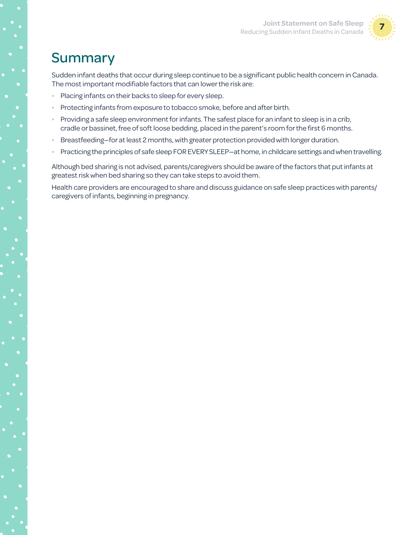

## Summary

Sudden infant deaths that occur during sleep continue to be a significant public health concern in Canada. The most important modifiable factors that can lower the risk are:

- Placing infants on their backs to sleep for every sleep.
- Protecting infants from exposure to tobacco smoke, before and after birth.
- Providing a safe sleep environment for infants. The safest place for an infant to sleep is in a crib, cradle or bassinet, free of soft loose bedding, placed in the parent's room for the first 6 months.
- Breastfeeding—for at least 2 months, with greater protection provided with longer duration.
- Practicing the principles of safe sleep FOR EVERY SLEEP—at home, in childcare settings and when travelling.

Although bed sharing is not advised, parents/caregivers should be aware of the factors that put infants at greatest risk when bed sharing so they can take steps to avoid them.

Health care providers are encouraged to share and discuss guidance on safe sleep practices with parents/ caregivers of infants, beginning in pregnancy.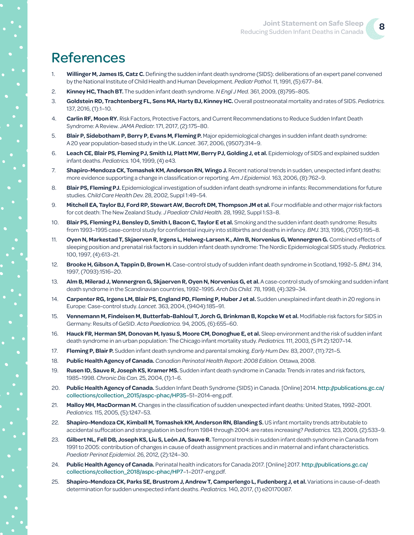## References

- 1. **Willinger M, James IS, Catz C.** Defining the sudden infant death syndrome (SIDS): deliberations of an expert panel convened by the National Institute of Child Health and Human Development. *Pediatr Pathol.* 11, 1991, (5):677–84.
- 2. **Kinney HC, Thach BT.** The sudden infant death syndrome. *N Engl J Med.* 361, 2009, (8)795–805.
- 3. **Goldstein RD, Trachtenberg FL, Sens MA, Harty BJ, Kinney HC.** Overall postneonatal mortality and rates of SIDS. *Pediatrics.*  137, 2016, (1):1–10.
- 4. **Carlin RF, Moon RY.** Risk Factors, Protective Factors, and Current Recommendations to Reduce Sudden Infant Death Syndrome: A Review. *JAMA Pediatr.* 171, 2017, (2):175–80.
- 5. **Blair P, Sidebotham P, Berry P, Evans M, Fleming P.** Major epidemiological changes in sudden infant death syndrome: A 20 year population-based study in the UK. *Lancet.* 367, 2006, (9507):314–9.
- 6. **Leach CE, Blair PS, Fleming PJ, Smith IJ, Platt MW, Berry PJ, Golding J, et al.** Epidemiology of SIDS and explained sudden infant deaths. *Pediatrics.* 104, 1999, (4) e43.
- 7. **Shapiro-Mendoza CK, Tomashek KM, Anderson RN, Wingo J.** Recent national trends in sudden, unexpected infant deaths: more evidence supporting a change in classification or reporting. *Am J Epidemiol.* 163, 2006, (8):762–9.
- 8. **Blair PS, Fleming PJ.** Epidemiological investigation of sudden infant death syndrome in infants: Recommendations for future studies. *Child Care Health Dev.* 28, 2002, Suppl 1:49–54.
- 9. **Mitchell EA, Taylor BJ, Ford RP, Stewart AW, Becroft DM, Thompson JM et al.** Four modifiable and other major risk factors for cot death: The New Zealand Study. *J Paediatr Child Health.* 28, 1992, Suppl 1:S3–8.
- 10. **Blair PS, Fleming PJ, Bensley D, Smith I, Bacon C, Taylor E et al.** Smoking and the sudden infant death syndrome: Results from 1993–1995 case-control study for confidential inquiry into stillbirths and deaths in infancy. *BMJ.* 313, 1996, (7051):195–8.
- 11. **Oyen N, Markestad T, Skjaerven R, Irgens L, Helweg-Larsen K., Alm B, Norvenius G, Wennergren G.** Combined effects of sleeping position and prenatal risk factors in sudden infant death syndrome: The Nordic Epidemiological SIDS study. *Pediatrics.*  100, 1997, (4):613–21.
- 12. **Brooke H, Gibson A, Tappin D, Brown H.** Case-control study of sudden infant death syndrome in Scotland, 1992–5. *BMJ.* 314, 1997, (7093):1516–20.
- 13. **Alm B, Milerad J, Wennergren G, Skjaerven R, Oyen N, Norvenius G, et al.** A case-control study of smoking and sudden infant death syndrome in the Scandinavian countries, 1992–1995. *Arch Dis Child.* 78, 1998, (4):329–34.
- 14. **Carpenter RG, Irgens LM, Blair PS, England PD, Fleming P, Huber J et al.** Sudden unexplained infant death in 20 regions in Europe: Case-control study. *Lancet.* 363, 2004, (9404):185–91.
- 15. **Vennemann M, Findeisen M, Butterfab-Bahloul T, Jorch G, Brinkman B, Kopcke W et al.** Modifiable risk factors for SIDS in Germany: Results of GeSID. *Acta Paediatrica.* 94, 2005, (6):655–60.
- 16. **Hauck FR, Herman SM, Donovan M, Iyasu S, Moore CM, Donoghue E, et al.** Sleep environment and the risk of sudden infant death syndrome in an urban population: The Chicago infant mortality study. *Pediatrics.* 111, 2003, (5 Pt 2):1207–14.
- 17. **Fleming P, Blair P.** Sudden infant death syndrome and parental smoking. *Early Hum Dev.* 83, 2007, (11):721–5.
- 18. **Public Health Agency of Canada.** *Canadian Perinatal Health Report: 2008 Edition.* Ottawa, 2008.
- 19. **Rusen ID, Sauve R, Joseph KS, Kramer MS.** Sudden infant death syndrome in Canada: Trends in rates and risk factors, 1985–1998. *Chronic Dis Can.* 25, 2004, (1):1–6.
- 20. **Public Health Agency of Canada.** Sudden Infant Death Syndrome (SIDS) in Canada. [Online] 2014. [http://publications.gc.ca/](http://publications.gc.ca/collections/collection_2015/aspc-phac/HP35) [collections/collection\\_2015/aspc-phac/HP35](http://publications.gc.ca/collections/collection_2015/aspc-phac/HP35)–51–2014-eng.pdf.
- 21. **Malloy MH, MacDorman M.** Changes in the classification of sudden unexpected infant deaths: United States, 1992–2001. *Pediatrics.* 115, 2005, (5):1247–53.
- 22. **Shapiro-Mendoza CK, Kimball M, Tomashek KM, Anderson RN, Blanding S.** US infant mortality trends attributable to accidental suffocation and strangulation in bed from 1984 through 2004: are rates increasing? *Pediatrics.* 123, 2009, (2):533–9.
- 23. **Gilbert NL, Fell DB, Joseph KS, Liu S, León JA, Sauve R.** Temporal trends in sudden infant death syndrome in Canada from 1991 to 2005: contribution of changes in cause of death assignment practices and in maternal and infant characteristics. *Paediatr Perinat Epidemiol.* 26, 2012, (2):124–30.
- 24. **Public Health Agency of Canada.** Perinatal health indicators for Canada 2017. [Online] 2017. [http://publications.gc.ca/](http://publications.gc.ca/collections/collection_2018/aspc-phac/HP7) [collections/collection\\_2018/aspc-phac/HP7](http://publications.gc.ca/collections/collection_2018/aspc-phac/HP7)–1–2017-eng.pdf.
- 25. **Shapiro-Mendoza CK, Parks SE, Brustrom J, Andrew T, Camperlengo L, Fudenberg J, et al.** Variations in cause-of-death determination for sudden unexpected infant deaths. *Pediatrics.* 140, 2017, (1) e20170087.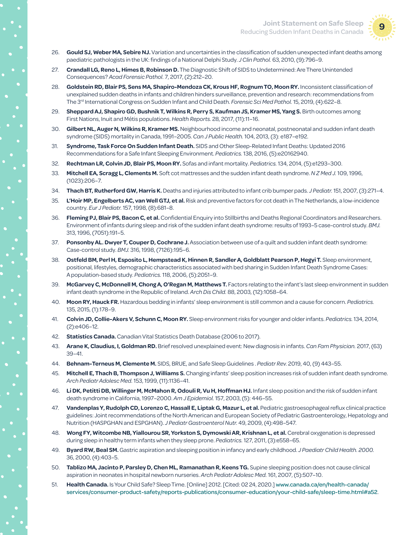

- 26. **Gould SJ, Weber MA, Sebire NJ.** Variation and uncertainties in the classification of sudden unexpected infant deaths among paediatric pathologists in the UK: findings of a National Delphi Study. *J Clin Pathol.* 63, 2010, (9):796–9.
- 27. **Crandall LG, Reno L, Himes B, Robinson D.** The Diagnostic Shift of SIDS to Undetermined: Are There Unintended Consequences? *Acad Forensic Pathol.* 7, 2017, (2):212–20.
- 28. **Goldstein RD, Blair PS, Sens MA, Shapiro-Mendoza CK, Krous HF, Rognum TO, Moon RY.** Inconsistent classification of unexplained sudden deaths in infants and children hinders surveillance, prevention and research: recommendations from The 3rd International Congress on Sudden Infant and Child Death. *Forensic Sci Med Pathol.* 15, 2019, (4):622–8.
- 29. **Sheppard AJ, Shapiro GD, Bushnik T, Wilkins R, Perry S, Kaufman JS, Kramer MS, Yang S.** Birth outcomes among First Nations, Inuit and Métis populations. *Health Reports.* 28, 2017, (11):11–16.
- 30. **Gilbert NL, Auger N, Wilkins R, Kramer MS.** Neighbourhood income and neonatal, postneonatal and sudden infant death syndrome (SIDS) mortality in Canada, 1991–2005. *Can J Public Health.* 104, 2013, (3): e187–e192.
- 31. **Syndrome, Task Force On Sudden Infant Death.** SIDS and Other Sleep-Related Infant Deaths: Updated 2016 Recommendations for a Safe Infant Sleeping Environment. *Pediatrics.* 138, 2016, (5):e20162940.
- 32. **Rechtman LR, Colvin JD, Blair PS, Moon RY.** Sofas and infant mortality. *Pediatrics.* 134, 2014, (5):e1293–300.
- 33. **Mitchell EA, Scragg L, Clements M.** Soft cot mattresses and the sudden infant death syndrome. *N Z Med J.* 109, 1996, (1023):206–7.
- 34. **Thach BT, Rutherford GW, Harris K.** Deaths and injuries attributed to infant crib bumper pads. *J Pediatr.* 151, 2007, (3):271–4.
- 35. **L'Hoir MP, Engelberts AC, van Well GTJ, et al.** Risk and preventive factors for cot death in The Netherlands, a low-incidence country. *Eur J Pediatr.* 157, 1998, (8):681–8.
- 36. **Fleming PJ, Blair PS, Bacon C, et al.** Confidential Enquiry into Stillbirths and Deaths Regional Coordinators and Researchers. Environment of infants during sleep and risk of the sudden infant death syndrome: results of 1993–5 case-control study. *BMJ.*  313, 1996, (7051):191–5.
- 37. **Ponsonby AL. Dwyer T, Couper D, Cochrane J.** Association between use of a quilt and sudden infant death syndrome: Case-control study. *BMJ.* 316, 1998, (7126):195–6.
- 38. **Ostfeld BM, Perl H, Esposito L, Hempstead K, Hinnen R, Sandler A, Goldblatt Pearson P, Hegyi T.** Sleep environment, positional, lifestyles, demographic characteristics associated with bed sharing in Sudden Infant Death Syndrome Cases: A population-based study. *Pediatrics.* 118, 2006, (5):2051–9.
- 39. **McGarvey C, McDonnell M, Chong A, O'Regan M, Matthews T.** Factors relating to the infant's last sleep environment in sudden infant death syndrome in the Republic of Ireland. *Arch Dis Child.* 88, 2003, (12):1058–64.
- 40. **Moon RY, Hauck FR.** Hazardous bedding in infants' sleep environment is still common and a cause for concern. *Pediatrics.*  135, 2015, (1):178–9.
- 41. **Colvin JD, Collie-Akers V, Schunn C, Moon RY.** Sleep environment risks for younger and older infants. *Pediatrics.* 134, 2014, (2):e406–12.
- 42. **Statistics Canada.** Canadian Vital Statistics Death Database (2006 to 2017).
- 43. **Arane K, Claudius, I, Goldman RD.** Brief resolved unexplained event: New diagnosis in infants. *Can Fam Physician.* 2017, (63) 39–41.
- 44. **Behnam-Terneus M, Clemente M.** SIDS, BRUE, and Safe Sleep Guidelines . *Pediatr Rev.* 2019, 40, (9) 443–55.
- 45. **Mitchell E, Thach B, Thompson J, Williams S.** Changing infants' sleep position increases risk of sudden infant death syndrome. *Arch Pediatr Adolesc Med.* 153, 1999, (11):1136–41.
- 46. **Li DK, Petitti DB, Willinger M, McMahon R, Odouli R, Vu H, Hoffman HJ.** Infant sleep position and the risk of sudden infant death syndrome in California, 1997–2000. *Am J Epidemiol.* 157, 2003, (5): 446–55.
- 47. **Vandenplas Y, Rudolph CD, Lorenzo C, Hassall E, Liptak G, Mazur L, et al.** Pediatric gastroesophageal reflux clinical practice guidelines: Joint recommendations of the North American and European Society of Pediatric Gastroenterology, Hepatology and Nutrition (HASPGHAN and ESPGHAN). *J Pediatr Gastroenterol Nutr.* 49, 2009, (4):498–547.
- 48. **Wong FY, Witcombe NB, Yiallourou SR, Yorkston S, Dymowski AR, Krishnan L, et al.** Cerebral oxygenation is depressed during sleep in healthy term infants when they sleep prone. *Pediatrics.* 127, 2011, (3):e558–65.
- 49. **Byard RW, Beal SM.** Gastric aspiration and sleeping position in infancy and early childhood. *J Paediatr Child Health. 2000.*  36, 2000, (4):403–5.
- 50. **Tablizo MA, Jacinto P, Parsley D, Chen ML, Ramanathan R, Keens TG.** Supine sleeping position does not cause clinical aspiration in neonates in hospital newborn nurseries. *Arch Pediatr Adolesc Med.* 161, 2007, (5):507–10.
- 51. **Health Canada.** Is Your Child Safe? Sleep Time. [Online] 2012. [Cited: 02 24, 2020.] [www.canada.ca/en/health-canada/](https://www.canada.ca/en/health-canada/services/consumer-product-safety/reports-publications/consumer-education/your-child-safe/sleep-time.html#a52) [services/consumer-product-safety/reports-publications/consumer-education/your-child-safe/sleep-time.html#a52](https://www.canada.ca/en/health-canada/services/consumer-product-safety/reports-publications/consumer-education/your-child-safe/sleep-time.html#a52).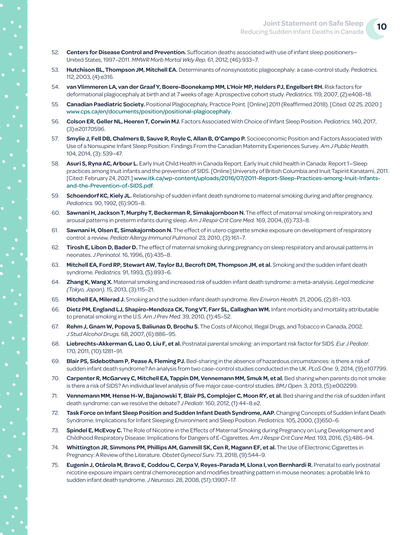- 52. **Centers for Disease Control and Prevention.** Suffocation deaths associated with use of infant sleep positioners— United States, 1997–2011. *MMWR Morb Mortal Wkly Rep.* 61, 2012, (46):933–7.
- 53. **Hutchison BL, Thompson JM, Mitchell EA.** Determinants of nonsynostotic plagiocephaly: a case-control study. *Pediatrics.*  112, 2003, (4):e316.
- 54. **van Vlimmeren LA, van der Graaf Y, Boere-Boonekamp MM, L'Hoir MP, Helders PJ, Engelbert RH.** Risk factors for deformational plagiocephaly at birth and at 7 weeks of age: A prospective cohort study. *Pediatrics.* 119, 2007, (2):e408–18.
- 55. **Canadian Paediatric Society.** Positional Plagiocephaly, Practice Point. [Online] 2011 (Reaffirmed 2018). [Cited: 02 25, 2020.] [www.cps.ca/en/documents/position/positional-plagiocephaly](https://www.cps.ca/en/documents/position/positional-plagiocephaly).
- 56. **Colson ER, Geller NL, Heeren T, Corwin MJ.** Factors Associated With Choice of Infant Sleep Position. *Pediatrics.* 140, 2017, (3):e20170596.
- 57. **Smylie J, Fell DB, Chalmers B, Sauve R, Royle C, Allan B, O'Campo P.** Socioeconomic Position and Factors Associated With Use of a Nonsupine Infant Sleep Position: Findings From the Canadian Maternity Experiences Survey. *Am J Public Health.*  104, 2014, (3): 539–47.
- 58. **Asuri S, Ryna AC, Arbour L.** Early Inuit Child Health in Canada Report. Early Inuit child health in Canada: Report 1—Sleep practices among Inuit infants and the prevention of SIDS. [Online] University of British Columbia and Inuit Tapiriit Kanatami, 2011. [Cited: February 24, 2021.] [www.itk.ca/wp-content/uploads/2016/07/2011-Report-Sleep-Practices-among-Inuit-Infants](https://www.itk.ca/wp-content/uploads/2016/07/2011-Report-Sleep-Practices-among-Inuit-Infants-and-the-Prevention-of-SIDS.pdf)[and-the-Prevention-of-SIDS.pdf](https://www.itk.ca/wp-content/uploads/2016/07/2011-Report-Sleep-Practices-among-Inuit-Infants-and-the-Prevention-of-SIDS.pdf).
- 59. **Schoendorf KC, Kiely JL.** Relationship of sudden infant death syndrome to maternal smoking during and after pregnancy. *Pediatrics.* 90, 1992, (6):905–8.
- 60. **Sawnani H, Jackson T, Murphy T, Beckerman R, Simakajornboon N.** The effect of maternal smoking on respiratory and arousal patterns in preterm infants during sleep. *Am J Respir Crit Care Med.* 169, 2004, (6):733–8.
- 61. **Sawnani H, Olsen E, Simakajornboon N.** The effect of in utero cigarette smoke exposure on development of respiratory control: a review. *Pediatr Allergy Immunol Pulmonol.* 23, 2010, (3):161–7.
- 62. **Tirosh E, Libon D, Bader D.** The effect of maternal smoking during pregnancy on sleep respiratory and arousal patterns in neonates. *J Perinatol.* 16, 1996, (6):435–8.
- 63. **Mitchell EA, Ford RP, Stewart AW, Taylor BJ, Becroft DM, Thompson JM, et al.** Smoking and the sudden infant death syndrome. *Pediatrics.* 91, 1993, (5):893–6.
- 64. **Zhang K, Wang X.** Maternal smoking and increased risk of sudden infant death syndrome: a meta-analysis. *Legal medicine (Tokyo, Japan).* 15, 2013, (3):115–21.
- 65. **Mitchell EA, Milerad J.** Smoking and the sudden infant death syndrome. *Rev Environ Health.* 21, 2006, (2):81–103.
- 66. **Dietz PM, England LJ, Shapiro-Mendoza CK, Tong VT, Farr SL, Callaghan WM.** Infant morbidity and mortality attributable to prenatal smoking in the U.S. *Am J Prev Med.* 39, 2010, (1):45–52.
- 67. **Rehm J, Gnam W, Popova S, Baliunas D, Brochu S.** The Costs of Alcohol, Illegal Drugs, and Tobacco in Canada, 2002. *J Stud Alcohol Drugs.* 68, 2007, (6):886–95.
- 68. **Liebrechts-Akkerman G, Lao O, Liu F, et al.** Postnatal parental smoking: an important risk factor for SIDS. *Eur J Pediatr.*  170, 2011, (10):1281–91.
- 69. **Blair PS, Sidebotham P, Pease A, Fleming PJ.** Bed-sharing in the absence of hazardous circumstances: is there a risk of sudden infant death syndrome? An analysis from two case-control studies conducted in the UK. *PLoS One.* 9, 2014, (9):e107799.
- 70. **Carpenter R, McGarvey C, Mitchell EA, Tappin DM, Vennemann MM, Smuk M, et al.** Bed sharing when parents do not smoke: is there a risk of SIDS? An individual level analysis of five major case-control studies. *BMJ Open.* 3, 2013, (5):e002299.
- 71. **Vennemann MM, Hense H-W, Bajanowski T, Blair PS, Complojer C, Moon RY, et al.** Bed sharing and the risk of sudden infant death syndrome: can we resolve the debate? *J Pediatr.* 160, 2012, (1):44–8.e2.
- 72. **Task Force on Infant Sleep Position and Sudden Infant Death Syndrome, AAP.** Changing Concepts of Sudden Infant Death Syndrome: Implications for Infant Sleeping Environment and Sleep Position. *Pediatrics.* 105, 2000, (3)650–6.
- 73. **Spindel E, McEvoy C.** The Role of Nicotine in the Effects of Maternal Smoking during Pregnancy on Lung Development and Childhood Respiratory Disease: Implications for Dangers of E-Cigarettes. *Am J Respir Crit Care Med.* 193, 2016, (5);486–94.
- 74. **Whittington JR, Simmons PM, Phillips AM, Gammill SK, Cen R, Magann EF, et al.** The Use of Electronic Cigarettes in Pregnancy: A Review of the Literature. *Obstet Gynecol Surv.* 73, 2018, (9):544–9.
- 75. **Eugenín J, Otárola M, Bravo E, Coddou C, Cerpa V, Reyes-Parada M, Llona I, von Bernhardi R.** Prenatal to early postnatal nicotine exposure impairs central chemoreception and modifies breathing pattern in mouse neonates: a probable link to sudden infant death syndrome. *J Neurosci.* 28, 2008, (51):13907–17.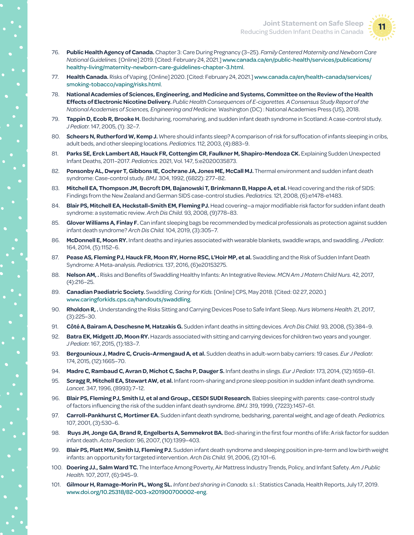

- 76. **Public Health Agency of Canada.** Chapter 3: Care During Pregnancy (3–25). *Family Centered Maternity and Newborn Care National Guidelines.* [Online] 2019. [Cited: February 24, 2021.] [www.canada.ca/en/public-health/services/publications/](https://www.canada.ca/en/public-health/services/publications/healthy-living/maternity-newborn-care-guidelines-chapter-3.html) [healthy-living/maternity-newborn-care-guidelines-chapter-3.html](https://www.canada.ca/en/public-health/services/publications/healthy-living/maternity-newborn-care-guidelines-chapter-3.html).
- 77. **Health Canada.** Risks of Vaping. [Online] 2020. [Cited: February 24, 2021.] [www.canada.ca/en/health-canada/services/](https://www.canada.ca/en/health-canada/services/smoking-tobacco/vaping/risks.html) [smoking-tobacco/vaping/risks.html](https://www.canada.ca/en/health-canada/services/smoking-tobacco/vaping/risks.html).
- 78. **National Academies of Sciences, Engineering, and Medicine and Systems, Committee on the Review of the Health Effects of Electronic Nicotine Delivery.** *Public Health Consequences of E-cigarettes. A Consensus Study Report of the National Academies of Sciences, Engineering and Medicine.* Washington (DC) : National Academies Press (US), 2018.
- 79. **Tappin D, Ecob R, Brooke H.** Bedsharing, roomsharing, and sudden infant death syndrome in Scotland: A case-control study. *J Pediatr.* 147, 2005, (1): 32–7.
- 80. **Scheers N, Rutherford W, Kemp J.** Where should infants sleep? A comparison of risk for suffocation of infants sleeping in cribs, adult beds, and other sleeping locations. *Pediatrics.* 112, 2003, (4):883–9.
- 81. **Parks SE, Erck Lambert AB, Hauck FR, Cottengim CR, Faulkner M, Shapiro-Mendoza CK.** Explaining Sudden Unexpected Infant Deaths, 2011–2017. *Pediatrics.* 2021, Vol. 147, 5:e2020035873.
- 82. **Ponsonby AL, Dwyer T, Gibbons IE, Cochrane JA, Jones ME, McCall MJ.** Thermal environment and sudden infant death syndrome: Case-control study. *BMJ.* 304, 1992, (6822): 277–82.
- 83. **Mitchell EA, Thompson JM, Becroft DM, Bajanowski T, Brinkmann B, Happe A, et al.** Head covering and the risk of SIDS: Findings from the New Zealand and German SIDS case-control studies. *Pediatrics.* 121, 2008, (6):e1478-e1483.
- 84. **Blair PS, Mitchell EA, Heckstall-Smith EM, Fleming PJ.** Head covering—a major modifiable risk factor for sudden infant death syndrome: a systematic review. *Arch Dis Child.* 93, 2008, (9)778–83.
- 85. **Glover Williams A, Finlay F.** Can infant sleeping bags be recommended by medical professionals as protection against sudden infant death syndrome? *Arch Dis Child.* 104, 2019, (3):305–7.
- 86. **McDonnell E, Moon RY.** Infant deaths and injuries associated with wearable blankets, swaddle wraps, and swaddling. *J Pediatr.*  164, 2014, (5):1152–6.
- 87. **Pease AS, Fleming PJ, Hauck FR, Moon RY, Horne RSC, L'Hoir MP, et al.** Swaddling and the Risk of Sudden Infant Death Syndrome: A Meta-analysis. *Pediatrics.* 137, 2016, (6)e20153275.
- 88. **Nelson AM, .** Risks and Benefits of Swaddling Healthy Infants: An Integrative Review. *MCN Am J Matern Child Nurs.* 42, 2017, (4):216–25.
- 89. **Canadian Paediatric Society.** Swaddling. *Caring for Kids.* [Online] CPS, May 2018. [Cited: 02 27, 2020.] [www.caringforkids.cps.ca/handouts/swaddling](https://www.caringforkids.cps.ca/handouts/swaddling).
- 90. **Rholdon R, .** Understanding the Risks Sitting and Carrying Devices Pose to Safe Infant Sleep. *Nurs Womens Health.* 21, 2017, (3):225–30.
- 91. **Côté A, Bairam A, Deschesne M, Hatzakis G.** Sudden infant deaths in sitting devices. *Arch Dis Child.* 93, 2008, (5):384–9.
- 92. **Batra EK, Midgett JD, Moon RY.** Hazards associated with sitting and carrying devices for children two years and younger. *J Pediatr.* 167, 2015, (1):183–7.
- 93. **Bergounioux J, Madre C, Crucis-Armengaud A, et al.** Sudden deaths in adult-worn baby carriers: 19 cases. *Eur J Pediatr.*  174, 2015, (12):1665–70.
- 94. **Madre C, Rambaud C, Avran D, Michot C, Sachs P, Dauger S.** Infant deaths in slings. *Eur J Pediatr.* 173, 2014, (12):1659–61.
- 95. **Scragg R, Mitchell EA, Stewart AW, et al.** Infant room-sharing and prone sleep position in sudden infant death syndrome. *Lancet.* 347, 1996, (8993):7–12.
- 96. **Blair PS, Fleming PJ, Smith IJ, et al and Group., CESDI SUDI Research.** Babies sleeping with parents: case-control study of factors influencing the risk of the sudden infant death syndrome. *BMJ.* 319, 1999, (7223):1457–61.
- 97. **Carroll-Pankhurst C, Mortimer EA.** Sudden infant death syndrome, bedsharing, parental weight, and age of death. *Pediatrics.*  107, 2001, (3):530–6.
- 98. **Ruys JH, Jonge GA, Brand R, Engelberts A, Semmekrot BA.** Bed-sharing in the first four months of life: A risk factor for sudden infant death. *Acta Paediatr.* 96, 2007, (10):1399–403.
- 99. **Blair PS, Platt MW, Smith IJ, Fleming PJ.** Sudden infant death syndrome and sleeping position in pre-term and low birth weight infants: an opportunity for targeted intervention. *Arch Dis Child.* 91, 2006, (2):101–6.
- 100. **Doering JJ., Salm Ward TC.** The Interface Among Poverty, Air Mattress Industry Trends, Policy, and Infant Safety. *Am J Public Health.* 107, 2017, (6):945–9.
- 101. **Gilmour H, Ramage-Morin PL, Wong SL.** *Infant bed sharing in Canada.* s.l. : Statistics Canada, Health Reports, July 17, 2019. [www.doi.org/10.25318/82-](http://www.doi.org/10.25318/82-003-x201900700002-eng)003-x201900700002-eng.